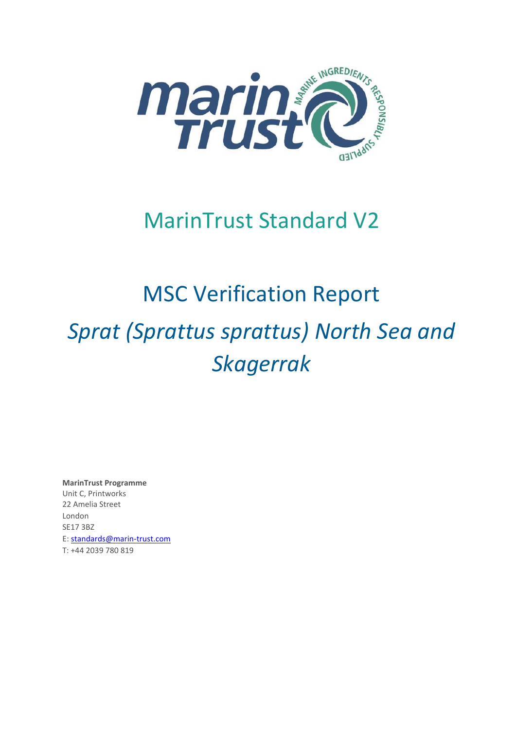

## MarinTrust Standard V2

# MSC Verification Report *Sprat (Sprattus sprattus) North Sea and Skagerrak*

**MarinTrust Programme** Unit C, Printworks 22 Amelia Street London SE17 3BZ E: standards@marin-trust.com T: +44 2039 780 819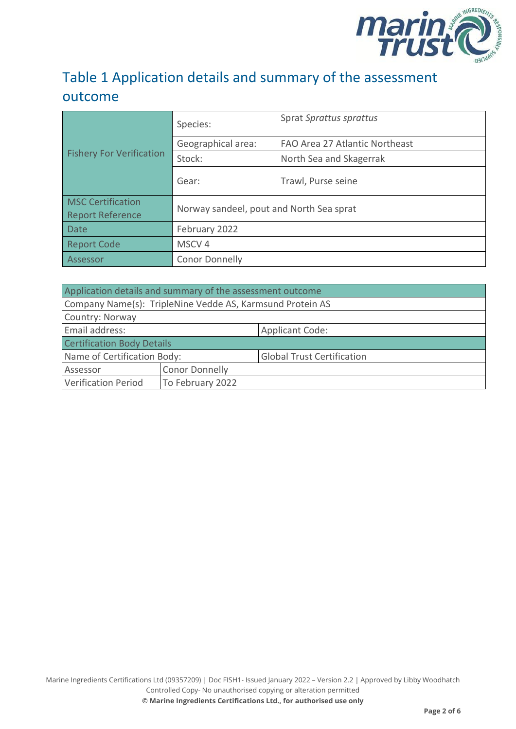

## Table 1 Application details and summary of the assessment outcome

| <b>Fishery For Verification</b>                     | Species:                                 | Sprat Sprattus sprattus        |  |
|-----------------------------------------------------|------------------------------------------|--------------------------------|--|
|                                                     | Geographical area:                       | FAO Area 27 Atlantic Northeast |  |
|                                                     | Stock:                                   | North Sea and Skagerrak        |  |
|                                                     | Gear:                                    | Trawl, Purse seine             |  |
| <b>MSC Certification</b><br><b>Report Reference</b> | Norway sandeel, pout and North Sea sprat |                                |  |
| <b>Date</b>                                         | February 2022                            |                                |  |
| <b>Report Code</b>                                  | MSCV <sub>4</sub>                        |                                |  |
| Assessor                                            | <b>Conor Donnelly</b>                    |                                |  |

| Application details and summary of the assessment outcome |                       |                                   |  |
|-----------------------------------------------------------|-----------------------|-----------------------------------|--|
| Company Name(s): TripleNine Vedde AS, Karmsund Protein AS |                       |                                   |  |
| Country: Norway                                           |                       |                                   |  |
| Email address:                                            |                       | <b>Applicant Code:</b>            |  |
| <b>Certification Body Details</b>                         |                       |                                   |  |
| Name of Certification Body:                               |                       | <b>Global Trust Certification</b> |  |
| Assessor                                                  | <b>Conor Donnelly</b> |                                   |  |
| <b>Verification Period</b>                                | To February 2022      |                                   |  |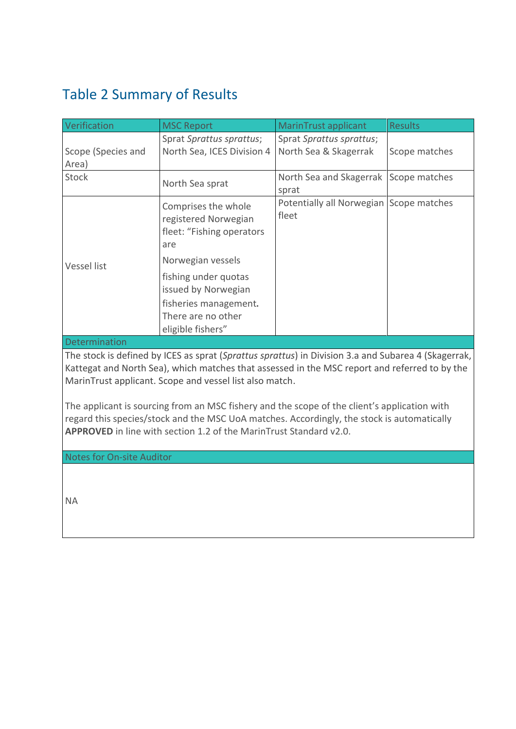## <span id="page-2-0"></span>Table 2 Summary of Results

| Verification                    | <b>MSC Report</b>                                                               | MarinTrust applicant                              | <b>Results</b> |
|---------------------------------|---------------------------------------------------------------------------------|---------------------------------------------------|----------------|
| Scope (Species and<br>Area)     | Sprat Sprattus sprattus;<br>North Sea, ICES Division 4                          | Sprat Sprattus sprattus;<br>North Sea & Skagerrak | Scope matches  |
| Stock                           | North Sea sprat                                                                 | North Sea and Skagerrak Scope matches<br>sprat    |                |
| Vessel list<br>Datawaia tantina | Comprises the whole<br>registered Norwegian<br>fleet: "Fishing operators<br>are | Potentially all Norwegian Scope matches<br>fleet  |                |
|                                 | Norwegian vessels                                                               |                                                   |                |
|                                 | fishing under quotas<br>issued by Norwegian<br>fisheries management.            |                                                   |                |
|                                 | There are no other<br>eligible fishers"                                         |                                                   |                |

#### Determination

The stock is defined by ICES as sprat (*Sprattus sprattus*) in Division 3.a and Subarea 4 (Skagerrak, Kattegat and North Sea), which matches that assessed in the MSC report and referred to by the MarinTrust applicant. Scope and vessel list also match.

The applicant is sourcing from an MSC fishery and the scope of the client's application with regard this species/stock and the MSC UoA matches. Accordingly, the stock is automatically **APPROVED** in line with section 1.2 of the MarinTrust Standard v2.0.

Notes for On-site Auditor

NA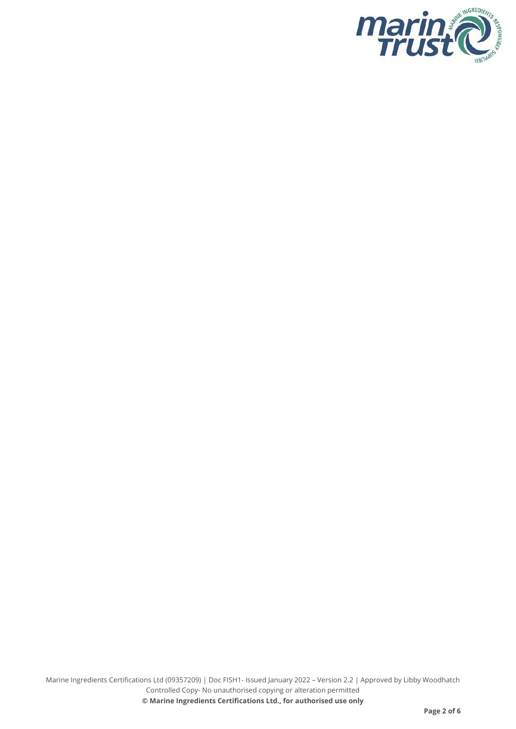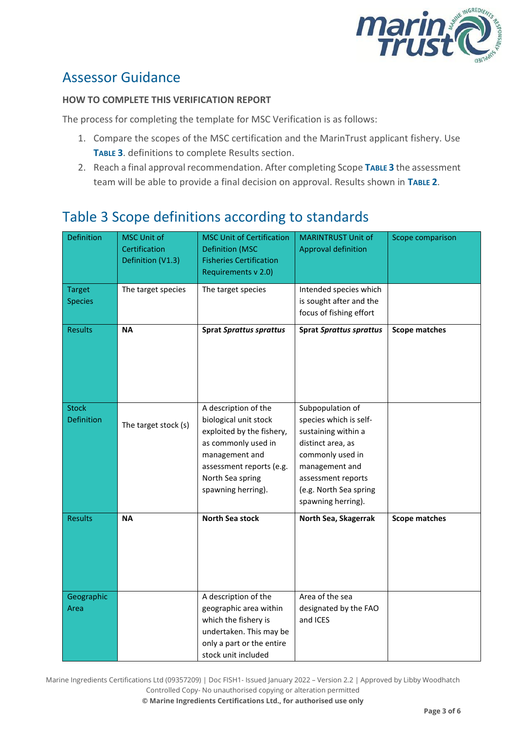

### Assessor Guidance

#### **HOW TO COMPLETE THIS VERIFICATION REPORT**

The process for completing the template for MSC Verification is as follows:

- 1. Compare the scopes of the MSC certification and the MarinTrust applicant fishery. Use **T[ABLE](#page-4-0) 3**. definitions to complete Results section.
- 2. Reach a final approval recommendation. After completing Scope **T[ABLE](#page-4-0) 3** the assessment team will be able to provide a final decision on approval. Results shown in **T[ABLE](#page-2-0) 2**.

## <span id="page-4-0"></span>Table 3 Scope definitions according to standards

| Definition                      | <b>MSC Unit of</b><br>Certification<br>Definition (V1.3) | <b>MSC Unit of Certification</b><br><b>Definition (MSC</b><br><b>Fisheries Certification</b><br>Requirements v 2.0)                                                                       | <b>MARINTRUST Unit of</b><br><b>Approval definition</b>                                                                                                                                            | Scope comparison     |
|---------------------------------|----------------------------------------------------------|-------------------------------------------------------------------------------------------------------------------------------------------------------------------------------------------|----------------------------------------------------------------------------------------------------------------------------------------------------------------------------------------------------|----------------------|
| <b>Target</b><br><b>Species</b> | The target species                                       | The target species                                                                                                                                                                        | Intended species which<br>is sought after and the<br>focus of fishing effort                                                                                                                       |                      |
| <b>Results</b>                  | <b>NA</b>                                                | <b>Sprat Sprattus sprattus</b>                                                                                                                                                            | <b>Sprat Sprattus sprattus</b>                                                                                                                                                                     | <b>Scope matches</b> |
| <b>Stock</b><br>Definition      | The target stock (s)                                     | A description of the<br>biological unit stock<br>exploited by the fishery,<br>as commonly used in<br>management and<br>assessment reports (e.g.<br>North Sea spring<br>spawning herring). | Subpopulation of<br>species which is self-<br>sustaining within a<br>distinct area, as<br>commonly used in<br>management and<br>assessment reports<br>(e.g. North Sea spring<br>spawning herring). |                      |
| <b>Results</b>                  | <b>NA</b>                                                | <b>North Sea stock</b>                                                                                                                                                                    | North Sea, Skagerrak                                                                                                                                                                               | <b>Scope matches</b> |
| Geographic<br>Area              |                                                          | A description of the<br>geographic area within<br>which the fishery is<br>undertaken. This may be<br>only a part or the entire<br>stock unit included                                     | Area of the sea<br>designated by the FAO<br>and ICES                                                                                                                                               |                      |

Marine Ingredients Certifications Ltd (09357209) | Doc FISH1- Issued January 2022 – Version 2.2 | Approved by Libby Woodhatch Controlled Copy- No unauthorised copying or alteration permitted